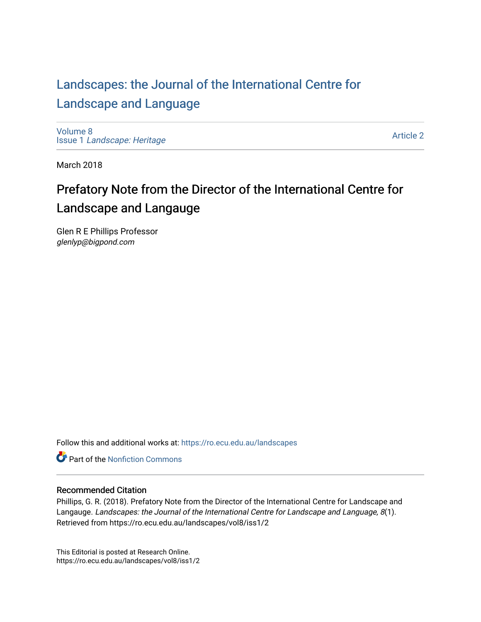## [Landscapes: the Journal of the International Centre for](https://ro.ecu.edu.au/landscapes) [Landscape and Language](https://ro.ecu.edu.au/landscapes)

[Volume 8](https://ro.ecu.edu.au/landscapes/vol8) Issue 1 [Landscape: Heritage](https://ro.ecu.edu.au/landscapes/vol8/iss1)

[Article 2](https://ro.ecu.edu.au/landscapes/vol8/iss1/2) 

March 2018

# Prefatory Note from the Director of the International Centre for Landscape and Langauge

Glen R E Phillips Professor glenlyp@bigpond.com

Follow this and additional works at: [https://ro.ecu.edu.au/landscapes](https://ro.ecu.edu.au/landscapes?utm_source=ro.ecu.edu.au%2Flandscapes%2Fvol8%2Fiss1%2F2&utm_medium=PDF&utm_campaign=PDFCoverPages) 

**C** Part of the Nonfiction Commons

### Recommended Citation

Phillips, G. R. (2018). Prefatory Note from the Director of the International Centre for Landscape and Langauge. Landscapes: the Journal of the International Centre for Landscape and Language, 8(1). Retrieved from https://ro.ecu.edu.au/landscapes/vol8/iss1/2

This Editorial is posted at Research Online. https://ro.ecu.edu.au/landscapes/vol8/iss1/2